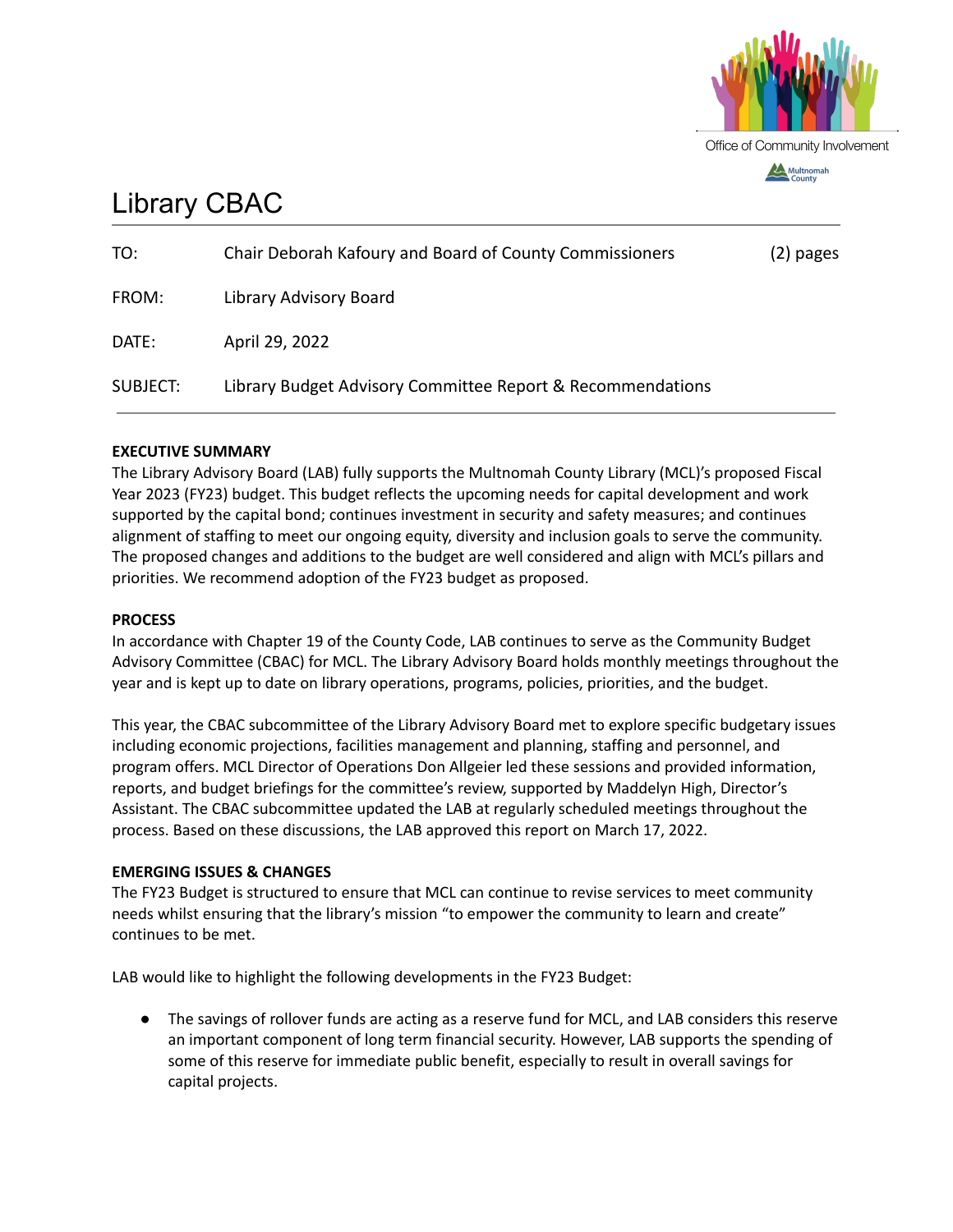

# Library CBAC

| TO:             | Chair Deborah Kafoury and Board of County Commissioners    | (2) pages |
|-----------------|------------------------------------------------------------|-----------|
| FROM:           | Library Advisory Board                                     |           |
| DATE:           | April 29, 2022                                             |           |
| <b>SUBJECT:</b> | Library Budget Advisory Committee Report & Recommendations |           |

## **EXECUTIVE SUMMARY**

The Library Advisory Board (LAB) fully supports the Multnomah County Library (MCL)'s proposed Fiscal Year 2023 (FY23) budget. This budget reflects the upcoming needs for capital development and work supported by the capital bond; continues investment in security and safety measures; and continues alignment of staffing to meet our ongoing equity, diversity and inclusion goals to serve the community. The proposed changes and additions to the budget are well considered and align with MCL's pillars and priorities. We recommend adoption of the FY23 budget as proposed.

### **PROCESS**

In accordance with Chapter 19 of the County Code, LAB continues to serve as the Community Budget Advisory Committee (CBAC) for MCL. The Library Advisory Board holds monthly meetings throughout the year and is kept up to date on library operations, programs, policies, priorities, and the budget.

This year, the CBAC subcommittee of the Library Advisory Board met to explore specific budgetary issues including economic projections, facilities management and planning, staffing and personnel, and program offers. MCL Director of Operations Don Allgeier led these sessions and provided information, reports, and budget briefings for the committee's review, supported by Maddelyn High, Director's Assistant. The CBAC subcommittee updated the LAB at regularly scheduled meetings throughout the process. Based on these discussions, the LAB approved this report on March 17, 2022.

## **EMERGING ISSUES & CHANGES**

The FY23 Budget is structured to ensure that MCL can continue to revise services to meet community needs whilst ensuring that the library's mission "to empower the community to learn and create" continues to be met.

LAB would like to highlight the following developments in the FY23 Budget:

● The savings of rollover funds are acting as a reserve fund for MCL, and LAB considers this reserve an important component of long term financial security. However, LAB supports the spending of some of this reserve for immediate public benefit, especially to result in overall savings for capital projects.